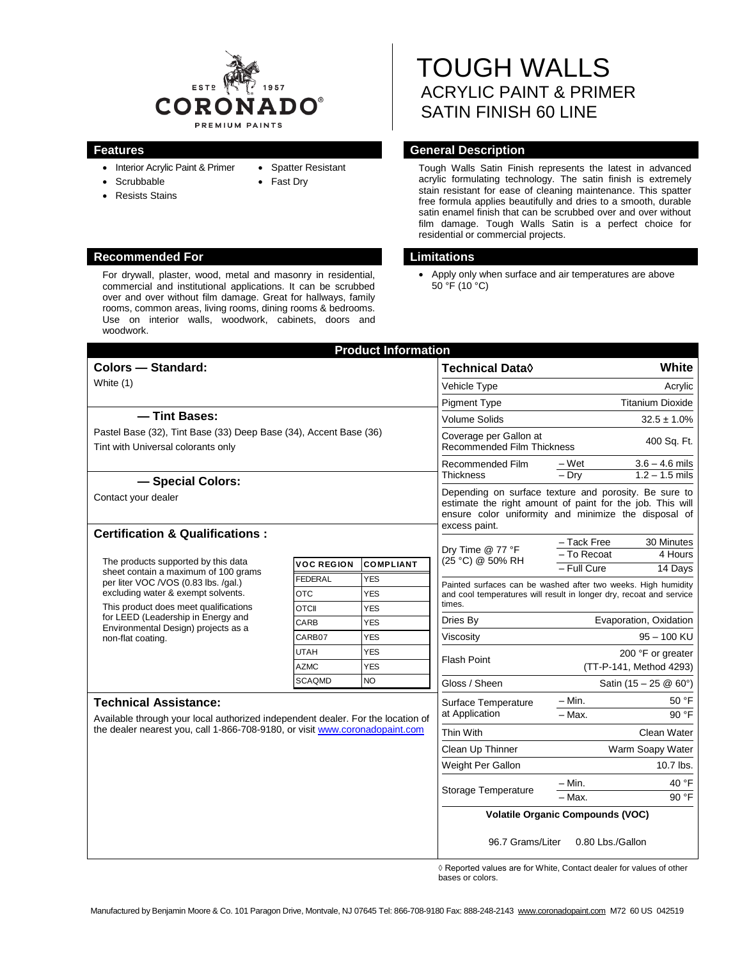

- Interior Acrylic Paint & Primer
- Scrubbable
- Resists Stains

### **Recommended For Limitations**

For drywall, plaster, wood, metal and masonry in residential, commercial and institutional applications. It can be scrubbed over and over without film damage. Great for hallways, family rooms, common areas, living rooms, dining rooms & bedrooms. Use on interior walls, woodwork, cabinets, doors and woodwork.

# TOUGH WALLS ACRYLIC PAINT & PRIMER SATIN FINISH 60 LINE

# **Features General Description**

Tough Walls Satin Finish represents the latest in advanced acrylic formulating technology. The satin finish is extremely stain resistant for ease of cleaning maintenance. This spatter free formula applies beautifully and dries to a smooth, durable satin enamel finish that can be scrubbed over and over without film damage. Tough Walls Satin is a perfect choice for residential or commercial projects.

 Apply only when surface and air temperatures are above  $50 °F$  (10  $°C$ )

| <b>Product Information</b>                                                                                                                                                                                                                                                                           |                            |                          |                                                                                                                                                                                             |                                                                                               |                       |  |
|------------------------------------------------------------------------------------------------------------------------------------------------------------------------------------------------------------------------------------------------------------------------------------------------------|----------------------------|--------------------------|---------------------------------------------------------------------------------------------------------------------------------------------------------------------------------------------|-----------------------------------------------------------------------------------------------|-----------------------|--|
| <b>Colors - Standard:</b>                                                                                                                                                                                                                                                                            |                            |                          | <b>Technical Data</b> ♦                                                                                                                                                                     | White                                                                                         |                       |  |
| White (1)                                                                                                                                                                                                                                                                                            |                            |                          | Vehicle Type                                                                                                                                                                                | Acrylic                                                                                       |                       |  |
|                                                                                                                                                                                                                                                                                                      |                            |                          | <b>Pigment Type</b>                                                                                                                                                                         | <b>Titanium Dioxide</b>                                                                       |                       |  |
| - Tint Bases:                                                                                                                                                                                                                                                                                        |                            |                          | <b>Volume Solids</b>                                                                                                                                                                        | $32.5 \pm 1.0\%$                                                                              |                       |  |
| Pastel Base (32), Tint Base (33) Deep Base (34), Accent Base (36)<br>Tint with Universal colorants only                                                                                                                                                                                              |                            |                          | Coverage per Gallon at<br><b>Recommended Film Thickness</b>                                                                                                                                 | 400 Sq. Ft.                                                                                   |                       |  |
|                                                                                                                                                                                                                                                                                                      |                            |                          | Recommended Film                                                                                                                                                                            | – Wet                                                                                         | $3.6 - 4.6$ mils      |  |
| - Special Colors:                                                                                                                                                                                                                                                                                    |                            |                          | <b>Thickness</b>                                                                                                                                                                            | $-$ Drv                                                                                       | $1.2 - 1.5$ mils      |  |
| Contact your dealer                                                                                                                                                                                                                                                                                  |                            |                          | Depending on surface texture and porosity. Be sure to<br>estimate the right amount of paint for the job. This will<br>ensure color uniformity and minimize the disposal of<br>excess paint. |                                                                                               |                       |  |
| <b>Certification &amp; Qualifications:</b>                                                                                                                                                                                                                                                           |                            |                          | Dry Time @ 77 °F                                                                                                                                                                            | - Tack Free<br>- To Recoat                                                                    | 30 Minutes<br>4 Hours |  |
| The products supported by this data<br>sheet contain a maximum of 100 grams<br>per liter VOC /VOS (0.83 lbs. /gal.)<br>excluding water & exempt solvents.<br>This product does meet qualifications<br>for LEED (Leadership in Energy and<br>Environmental Design) projects as a<br>non-flat coating. | <b>VOC REGION</b>          | <b>COMPLIANT</b>         | (25 °C) @ 50% RH                                                                                                                                                                            | - Full Cure                                                                                   | 14 Days               |  |
|                                                                                                                                                                                                                                                                                                      | <b>FEDERAL</b>             | <b>YES</b>               | Painted surfaces can be washed after two weeks. High humidity                                                                                                                               |                                                                                               |                       |  |
|                                                                                                                                                                                                                                                                                                      | <b>OTC</b><br><b>OTCII</b> | <b>YES</b>               | times.                                                                                                                                                                                      | and cool temperatures will result in longer dry, recoat and service<br>Evaporation, Oxidation |                       |  |
|                                                                                                                                                                                                                                                                                                      | CARB                       | <b>YES</b><br><b>YES</b> | Dries By                                                                                                                                                                                    |                                                                                               |                       |  |
|                                                                                                                                                                                                                                                                                                      | CARB07                     | <b>YES</b>               | Viscosity                                                                                                                                                                                   | 95 - 100 KU                                                                                   |                       |  |
|                                                                                                                                                                                                                                                                                                      | <b>UTAH</b>                | <b>YES</b>               |                                                                                                                                                                                             | 200 °F or greater<br>(TT-P-141, Method 4293)<br>Satin $(15 - 25 \& 60^{\circ})$               |                       |  |
|                                                                                                                                                                                                                                                                                                      | <b>AZMC</b>                | <b>YES</b>               | <b>Flash Point</b>                                                                                                                                                                          |                                                                                               |                       |  |
|                                                                                                                                                                                                                                                                                                      | <b>SCAQMD</b>              | <b>NO</b>                | Gloss / Sheen                                                                                                                                                                               |                                                                                               |                       |  |
| <b>Technical Assistance:</b>                                                                                                                                                                                                                                                                         |                            |                          | Surface Temperature<br>at Application                                                                                                                                                       | $-$ Min.                                                                                      | 50 °F                 |  |
| Available through your local authorized independent dealer. For the location of                                                                                                                                                                                                                      |                            |                          |                                                                                                                                                                                             | $-$ Max.                                                                                      | 90 °F                 |  |
| the dealer nearest you, call 1-866-708-9180, or visit www.coronadopaint.com                                                                                                                                                                                                                          |                            |                          | Thin With                                                                                                                                                                                   |                                                                                               | Clean Water           |  |
|                                                                                                                                                                                                                                                                                                      |                            |                          | Clean Up Thinner                                                                                                                                                                            | Warm Soapy Water                                                                              |                       |  |
|                                                                                                                                                                                                                                                                                                      |                            |                          | Weight Per Gallon                                                                                                                                                                           | 10.7 lbs.                                                                                     |                       |  |
|                                                                                                                                                                                                                                                                                                      |                            |                          | Storage Temperature                                                                                                                                                                         | – Min.                                                                                        | 40 °F                 |  |
|                                                                                                                                                                                                                                                                                                      |                            |                          |                                                                                                                                                                                             | - Max.                                                                                        | 90 °F                 |  |
|                                                                                                                                                                                                                                                                                                      |                            |                          | <b>Volatile Organic Compounds (VOC)</b>                                                                                                                                                     |                                                                                               |                       |  |
|                                                                                                                                                                                                                                                                                                      |                            |                          | 0.80 Lbs./Gallon<br>96.7 Grams/Liter                                                                                                                                                        |                                                                                               |                       |  |

◊ Reported values are for White, Contact dealer for values of other bases or colors.

### • Spatter Resistant • Fast Dry